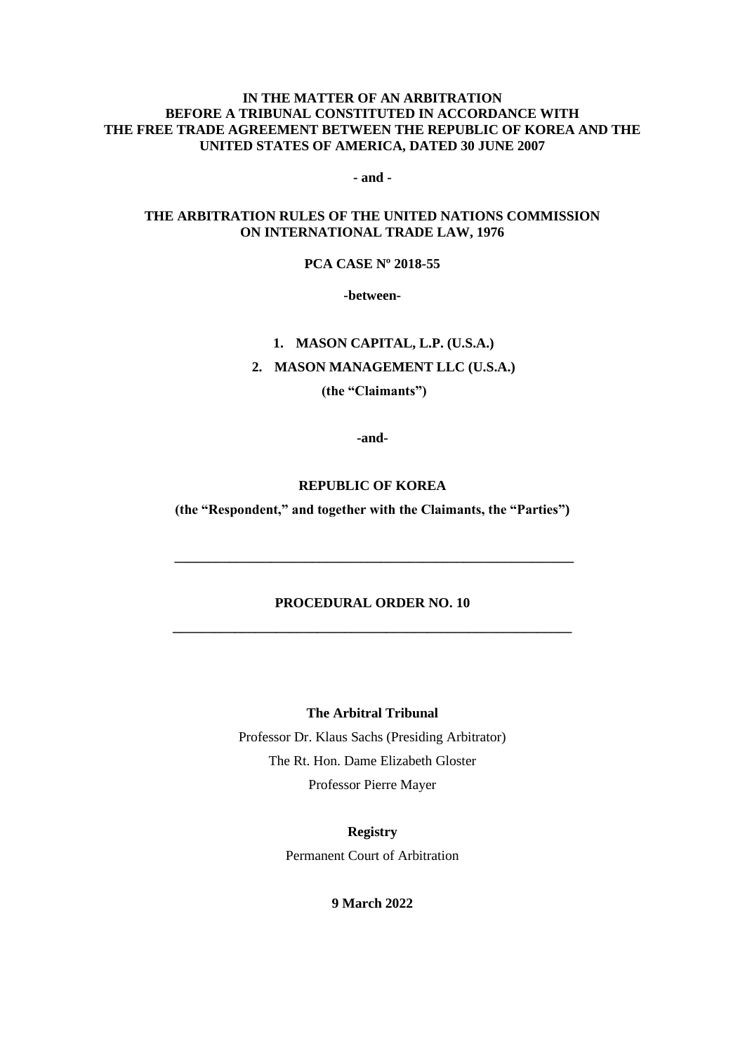#### **IN THE MATTER OF AN ARBITRATION BEFORE A TRIBUNAL CONSTITUTED IN ACCORDANCE WITH THE FREE TRADE AGREEMENT BETWEEN THE REPUBLIC OF KOREA AND THE UNITED STATES OF AMERICA, DATED 30 JUNE 2007**

**- and -**

#### **THE ARBITRATION RULES OF THE UNITED NATIONS COMMISSION ON INTERNATIONAL TRADE LAW, 1976**

#### **PCA CASE Nº 2018-55**

**-between-**

# **1. MASON CAPITAL, L.P. (U.S.A.)**

**2. MASON MANAGEMENT LLC (U.S.A.)**

**(the "Claimants")**

**-and-**

# **REPUBLIC OF KOREA**

**(the "Respondent," and together with the Claimants, the "Parties")**

**\_\_\_\_\_\_\_\_\_\_\_\_\_\_\_\_\_\_\_\_\_\_\_\_\_\_\_\_\_\_\_\_\_\_\_\_\_\_\_\_\_\_\_\_\_\_\_\_\_\_\_\_\_\_\_\_\_\_**

# **PROCEDURAL ORDER NO. 10 \_\_\_\_\_\_\_\_\_\_\_\_\_\_\_\_\_\_\_\_\_\_\_\_\_\_\_\_\_\_\_\_\_\_\_\_\_\_\_\_\_\_\_\_\_\_\_\_\_\_\_\_\_\_\_\_\_\_**

#### **The Arbitral Tribunal**

Professor Dr. Klaus Sachs (Presiding Arbitrator) The Rt. Hon. Dame Elizabeth Gloster Professor Pierre Mayer

**Registry**

Permanent Court of Arbitration

#### **9 March 2022**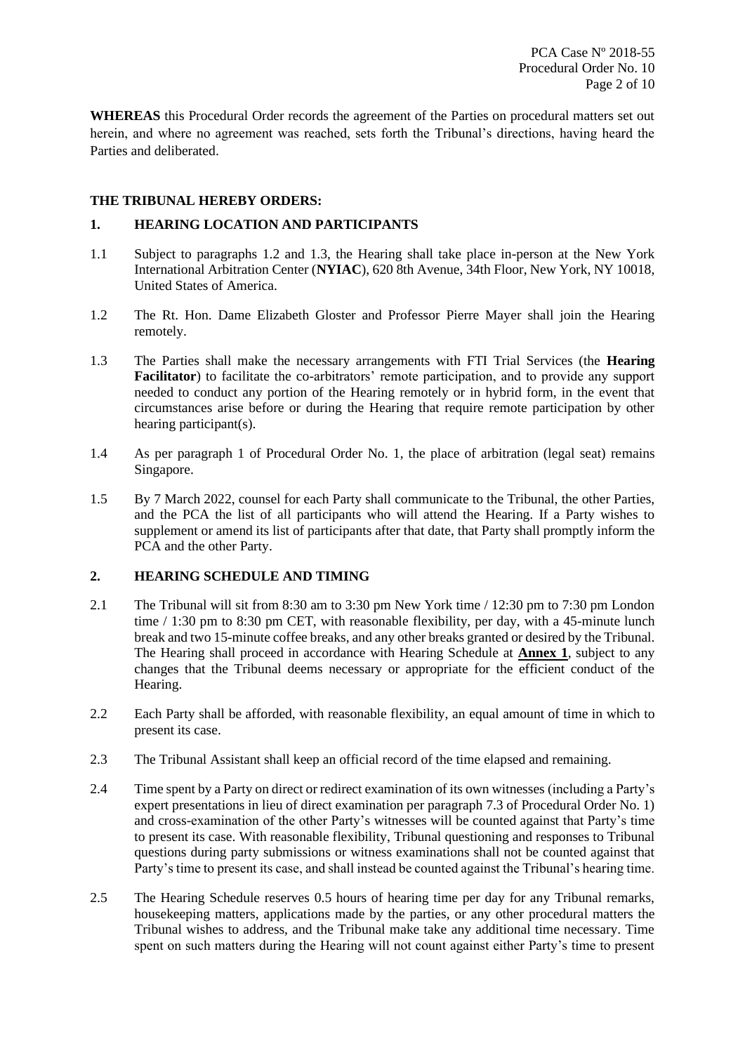**WHEREAS** this Procedural Order records the agreement of the Parties on procedural matters set out herein, and where no agreement was reached, sets forth the Tribunal's directions, having heard the Parties and deliberated.

# **THE TRIBUNAL HEREBY ORDERS:**

# **1. HEARING LOCATION AND PARTICIPANTS**

- 1.1 Subject to paragraphs [1.2](#page-1-0) and [1.3,](#page-1-1) the Hearing shall take place in-person at the New York International Arbitration Center (**NYIAC**), 620 8th Avenue, 34th Floor, New York, NY 10018, United States of America.
- <span id="page-1-0"></span>1.2 The Rt. Hon. Dame Elizabeth Gloster and Professor Pierre Mayer shall join the Hearing remotely.
- <span id="page-1-1"></span>1.3 The Parties shall make the necessary arrangements with FTI Trial Services (the **Hearing Facilitator**) to facilitate the co-arbitrators' remote participation, and to provide any support needed to conduct any portion of the Hearing remotely or in hybrid form, in the event that circumstances arise before or during the Hearing that require remote participation by other hearing participant(s).
- 1.4 As per paragraph 1 of Procedural Order No. 1, the place of arbitration (legal seat) remains Singapore.
- 1.5 By 7 March 2022, counsel for each Party shall communicate to the Tribunal, the other Parties, and the PCA the list of all participants who will attend the Hearing. If a Party wishes to supplement or amend its list of participants after that date, that Party shall promptly inform the PCA and the other Party.

#### **2. HEARING SCHEDULE AND TIMING**

- 2.1 The Tribunal will sit from 8:30 am to 3:30 pm New York time / 12:30 pm to 7:30 pm London time / 1:30 pm to 8:30 pm CET, with reasonable flexibility, per day, with a 45-minute lunch break and two 15-minute coffee breaks, and any other breaks granted or desired by the Tribunal. The Hearing shall proceed in accordance with Hearing Schedule at **Annex 1**, subject to any changes that the Tribunal deems necessary or appropriate for the efficient conduct of the Hearing.
- 2.2 Each Party shall be afforded, with reasonable flexibility, an equal amount of time in which to present its case.
- 2.3 The Tribunal Assistant shall keep an official record of the time elapsed and remaining.
- 2.4 Time spent by a Party on direct or redirect examination of its own witnesses (including a Party's expert presentations in lieu of direct examination per paragraph 7.3 of Procedural Order No. 1) and cross-examination of the other Party's witnesses will be counted against that Party's time to present its case. With reasonable flexibility, Tribunal questioning and responses to Tribunal questions during party submissions or witness examinations shall not be counted against that Party's time to present its case, and shall instead be counted against the Tribunal's hearing time.
- 2.5 The Hearing Schedule reserves 0.5 hours of hearing time per day for any Tribunal remarks, housekeeping matters, applications made by the parties, or any other procedural matters the Tribunal wishes to address, and the Tribunal make take any additional time necessary. Time spent on such matters during the Hearing will not count against either Party's time to present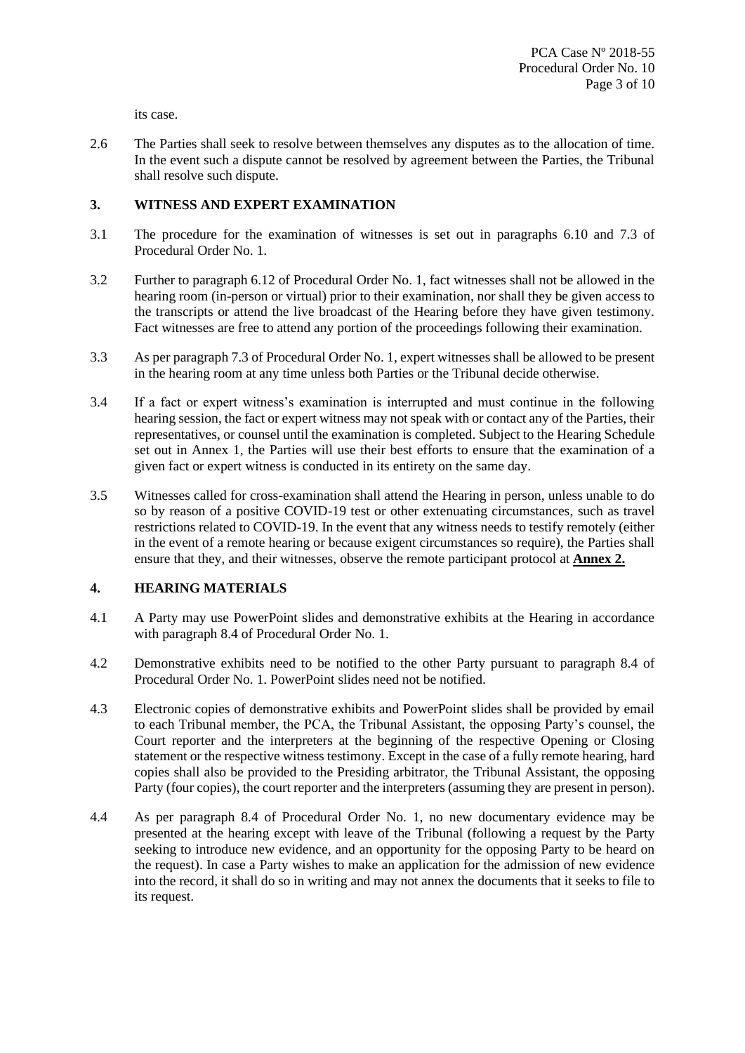its case.

2.6 The Parties shall seek to resolve between themselves any disputes as to the allocation of time. In the event such a dispute cannot be resolved by agreement between the Parties, the Tribunal shall resolve such dispute.

## **3. WITNESS AND EXPERT EXAMINATION**

- 3.1 The procedure for the examination of witnesses is set out in paragraphs 6.10 and 7.3 of Procedural Order No. 1.
- 3.2 Further to paragraph 6.12 of Procedural Order No. 1, fact witnesses shall not be allowed in the hearing room (in-person or virtual) prior to their examination, nor shall they be given access to the transcripts or attend the live broadcast of the Hearing before they have given testimony. Fact witnesses are free to attend any portion of the proceedings following their examination.
- 3.3 As per paragraph 7.3 of Procedural Order No. 1, expert witnesses shall be allowed to be present in the hearing room at any time unless both Parties or the Tribunal decide otherwise.
- 3.4 If a fact or expert witness's examination is interrupted and must continue in the following hearing session, the fact or expert witness may not speak with or contact any of the Parties, their representatives, or counsel until the examination is completed. Subject to the Hearing Schedule set out in Annex 1, the Parties will use their best efforts to ensure that the examination of a given fact or expert witness is conducted in its entirety on the same day.
- 3.5 Witnesses called for cross-examination shall attend the Hearing in person, unless unable to do so by reason of a positive COVID-19 test or other extenuating circumstances, such as travel restrictions related to COVID-19. In the event that any witness needs to testify remotely (either in the event of a remote hearing or because exigent circumstances so require), the Parties shall ensure that they, and their witnesses, observe the remote participant protocol at **Annex 2.**

# **4. HEARING MATERIALS**

- 4.1 A Party may use PowerPoint slides and demonstrative exhibits at the Hearing in accordance with paragraph 8.4 of Procedural Order No. 1.
- 4.2 Demonstrative exhibits need to be notified to the other Party pursuant to paragraph 8.4 of Procedural Order No. 1. PowerPoint slides need not be notified.
- 4.3 Electronic copies of demonstrative exhibits and PowerPoint slides shall be provided by email to each Tribunal member, the PCA, the Tribunal Assistant, the opposing Party's counsel, the Court reporter and the interpreters at the beginning of the respective Opening or Closing statement or the respective witness testimony. Except in the case of a fully remote hearing, hard copies shall also be provided to the Presiding arbitrator, the Tribunal Assistant, the opposing Party (four copies), the court reporter and the interpreters (assuming they are present in person).
- 4.4 As per paragraph 8.4 of Procedural Order No. 1, no new documentary evidence may be presented at the hearing except with leave of the Tribunal (following a request by the Party seeking to introduce new evidence, and an opportunity for the opposing Party to be heard on the request). In case a Party wishes to make an application for the admission of new evidence into the record, it shall do so in writing and may not annex the documents that it seeks to file to its request.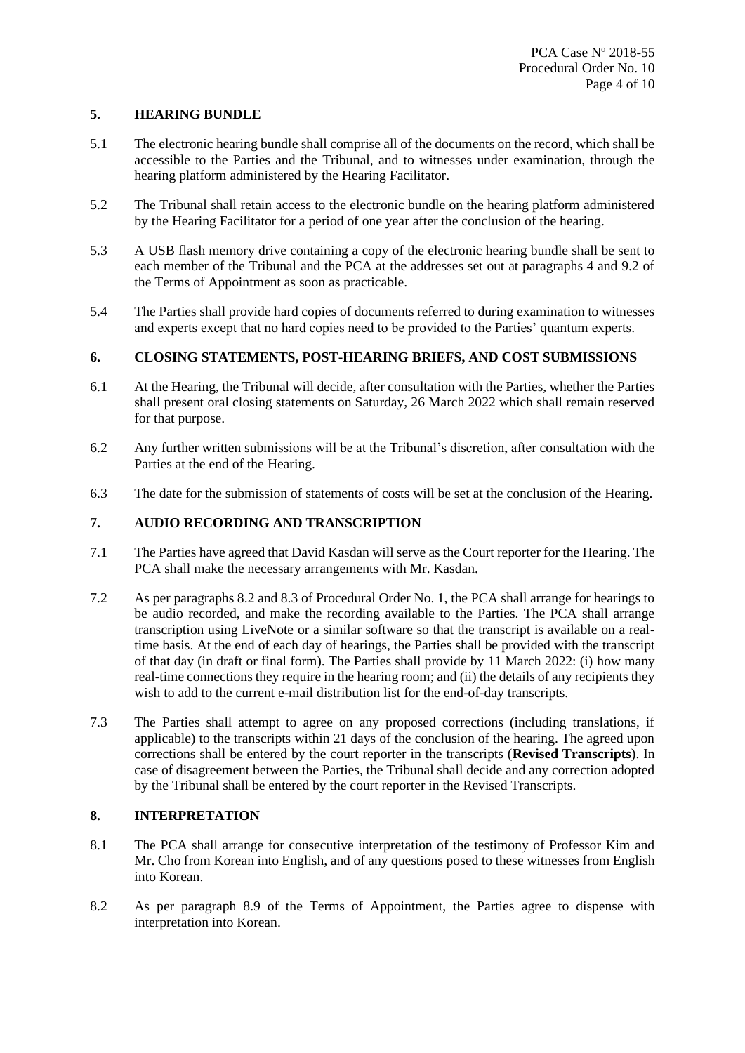#### **5. HEARING BUNDLE**

- 5.1 The electronic hearing bundle shall comprise all of the documents on the record, which shall be accessible to the Parties and the Tribunal, and to witnesses under examination, through the hearing platform administered by the Hearing Facilitator.
- 5.2 The Tribunal shall retain access to the electronic bundle on the hearing platform administered by the Hearing Facilitator for a period of one year after the conclusion of the hearing.
- 5.3 A USB flash memory drive containing a copy of the electronic hearing bundle shall be sent to each member of the Tribunal and the PCA at the addresses set out at paragraphs 4 and 9.2 of the Terms of Appointment as soon as practicable.
- 5.4 The Parties shall provide hard copies of documents referred to during examination to witnesses and experts except that no hard copies need to be provided to the Parties' quantum experts.

#### **6. CLOSING STATEMENTS, POST-HEARING BRIEFS, AND COST SUBMISSIONS**

- 6.1 At the Hearing, the Tribunal will decide, after consultation with the Parties, whether the Parties shall present oral closing statements on Saturday, 26 March 2022 which shall remain reserved for that purpose.
- 6.2 Any further written submissions will be at the Tribunal's discretion, after consultation with the Parties at the end of the Hearing.
- 6.3 The date for the submission of statements of costs will be set at the conclusion of the Hearing.

## **7. AUDIO RECORDING AND TRANSCRIPTION**

- 7.1 The Parties have agreed that David Kasdan will serve as the Court reporter for the Hearing. The PCA shall make the necessary arrangements with Mr. Kasdan.
- 7.2 As per paragraphs 8.2 and 8.3 of Procedural Order No. 1, the PCA shall arrange for hearings to be audio recorded, and make the recording available to the Parties. The PCA shall arrange transcription using LiveNote or a similar software so that the transcript is available on a realtime basis. At the end of each day of hearings, the Parties shall be provided with the transcript of that day (in draft or final form). The Parties shall provide by 11 March 2022: (i) how many real-time connections they require in the hearing room; and (ii) the details of any recipients they wish to add to the current e-mail distribution list for the end-of-day transcripts.
- 7.3 The Parties shall attempt to agree on any proposed corrections (including translations, if applicable) to the transcripts within 21 days of the conclusion of the hearing. The agreed upon corrections shall be entered by the court reporter in the transcripts (**Revised Transcripts**). In case of disagreement between the Parties, the Tribunal shall decide and any correction adopted by the Tribunal shall be entered by the court reporter in the Revised Transcripts.

# **8. INTERPRETATION**

- 8.1 The PCA shall arrange for consecutive interpretation of the testimony of Professor Kim and Mr. Cho from Korean into English, and of any questions posed to these witnesses from English into Korean.
- 8.2 As per paragraph 8.9 of the Terms of Appointment, the Parties agree to dispense with interpretation into Korean.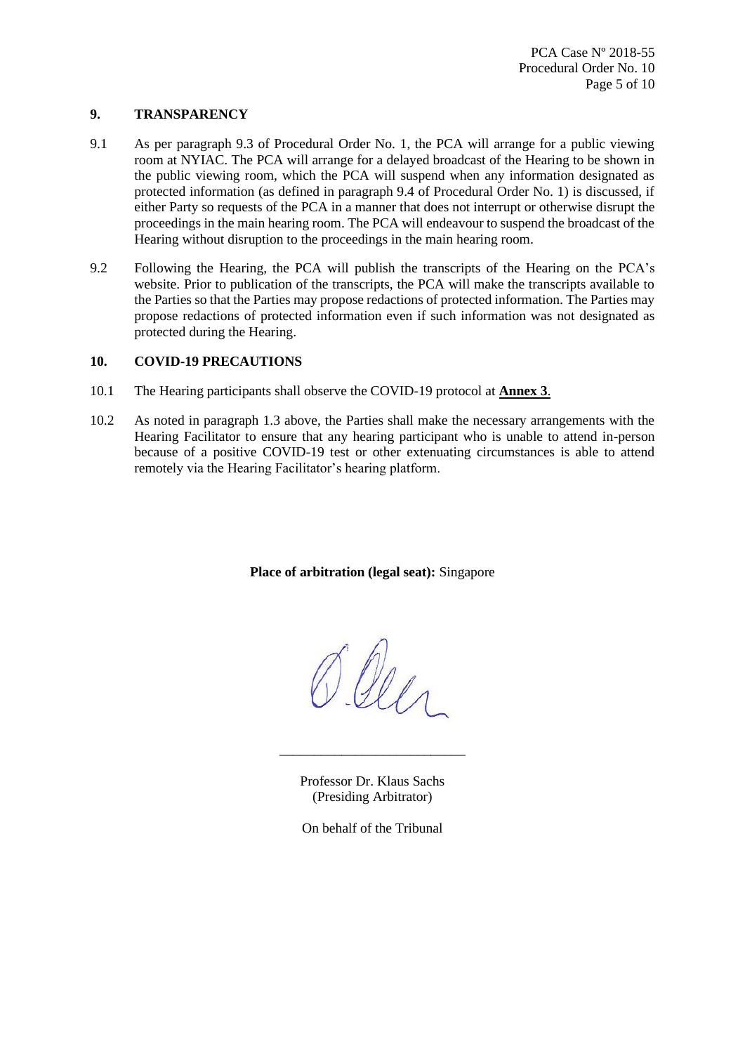#### **9. TRANSPARENCY**

- 9.1 As per paragraph 9.3 of Procedural Order No. 1, the PCA will arrange for a public viewing room at NYIAC. The PCA will arrange for a delayed broadcast of the Hearing to be shown in the public viewing room, which the PCA will suspend when any information designated as protected information (as defined in paragraph 9.4 of Procedural Order No. 1) is discussed, if either Party so requests of the PCA in a manner that does not interrupt or otherwise disrupt the proceedings in the main hearing room. The PCA will endeavour to suspend the broadcast of the Hearing without disruption to the proceedings in the main hearing room.
- 9.2 Following the Hearing, the PCA will publish the transcripts of the Hearing on the PCA's website. Prior to publication of the transcripts, the PCA will make the transcripts available to the Parties so that the Parties may propose redactions of protected information. The Parties may propose redactions of protected information even if such information was not designated as protected during the Hearing.

# **10. COVID-19 PRECAUTIONS**

- 10.1 The Hearing participants shall observe the COVID-19 protocol at **Annex 3**.
- 10.2 As noted in paragraph [1.3](#page-1-1) above, the Parties shall make the necessary arrangements with the Hearing Facilitator to ensure that any hearing participant who is unable to attend in-person because of a positive COVID-19 test or other extenuating circumstances is able to attend remotely via the Hearing Facilitator's hearing platform.

**Place of arbitration (legal seat):** Singapore

Della

Professor Dr. Klaus Sachs (Presiding Arbitrator)

\_\_\_\_\_\_\_\_\_\_\_\_\_\_\_\_\_\_\_\_\_\_\_\_\_\_\_

On behalf of the Tribunal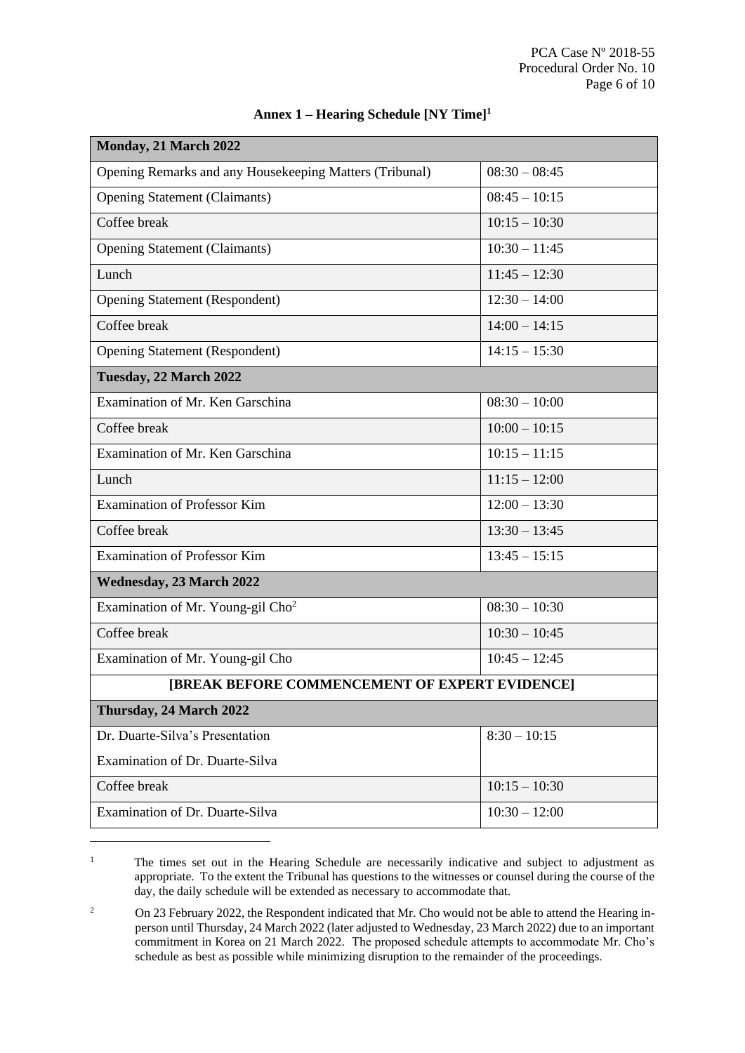| Monday, 21 March 2022                                   |                 |  |
|---------------------------------------------------------|-----------------|--|
| Opening Remarks and any Housekeeping Matters (Tribunal) | $08:30 - 08:45$ |  |
| <b>Opening Statement (Claimants)</b>                    | $08:45 - 10:15$ |  |
| Coffee break                                            | $10:15 - 10:30$ |  |
| <b>Opening Statement (Claimants)</b>                    | $10:30 - 11:45$ |  |
| Lunch                                                   | $11:45 - 12:30$ |  |
| Opening Statement (Respondent)                          | $12:30 - 14:00$ |  |
| Coffee break                                            | $14:00 - 14:15$ |  |
| <b>Opening Statement (Respondent)</b>                   | $14:15 - 15:30$ |  |
| Tuesday, 22 March 2022                                  |                 |  |
| Examination of Mr. Ken Garschina                        | $08:30 - 10:00$ |  |
| Coffee break                                            | $10:00 - 10:15$ |  |
| Examination of Mr. Ken Garschina                        | $10:15 - 11:15$ |  |
| Lunch                                                   | $11:15 - 12:00$ |  |
| <b>Examination of Professor Kim</b>                     | $12:00 - 13:30$ |  |
| Coffee break                                            | $13:30 - 13:45$ |  |
| <b>Examination of Professor Kim</b>                     | $13:45 - 15:15$ |  |
| <b>Wednesday, 23 March 2022</b>                         |                 |  |
| Examination of Mr. Young-gil Cho <sup>2</sup>           | $08:30 - 10:30$ |  |
| Coffee break                                            | $10:30 - 10:45$ |  |
| Examination of Mr. Young-gil Cho                        | $10:45 - 12:45$ |  |
| [BREAK BEFORE COMMENCEMENT OF EXPERT EVIDENCE]          |                 |  |
| Thursday, 24 March 2022                                 |                 |  |
| Dr. Duarte-Silva's Presentation                         | $8:30 - 10:15$  |  |
| Examination of Dr. Duarte-Silva                         |                 |  |
| Coffee break                                            | $10:15 - 10:30$ |  |
| Examination of Dr. Duarte-Silva                         | $10:30 - 12:00$ |  |

# **Annex 1 – Hearing Schedule [NY Time]<sup>1</sup>**

<sup>&</sup>lt;sup>1</sup> The times set out in the Hearing Schedule are necessarily indicative and subject to adjustment as appropriate. To the extent the Tribunal has questions to the witnesses or counsel during the course of the day, the daily schedule will be extended as necessary to accommodate that.

<sup>&</sup>lt;sup>2</sup> On 23 February 2022, the Respondent indicated that Mr. Cho would not be able to attend the Hearing inperson until Thursday, 24 March 2022 (later adjusted to Wednesday, 23 March 2022) due to an important commitment in Korea on 21 March 2022. The proposed schedule attempts to accommodate Mr. Cho's schedule as best as possible while minimizing disruption to the remainder of the proceedings.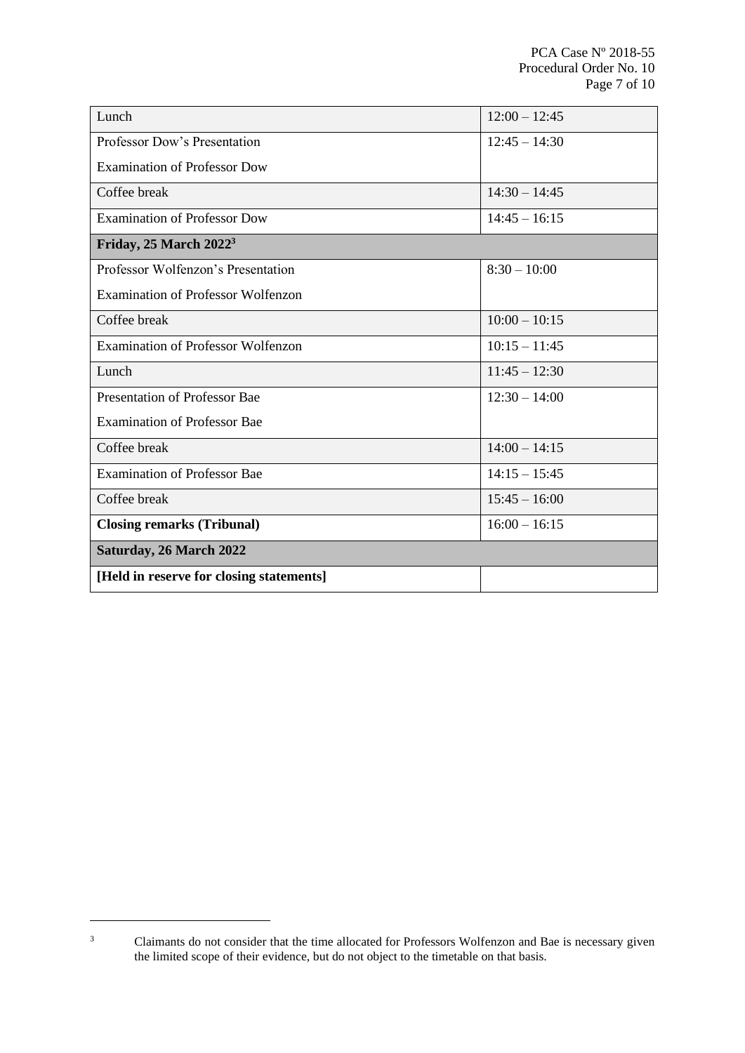| Lunch                                     | $12:00 - 12:45$ |  |
|-------------------------------------------|-----------------|--|
| Professor Dow's Presentation              | $12:45 - 14:30$ |  |
| <b>Examination of Professor Dow</b>       |                 |  |
| Coffee break                              | $14:30 - 14:45$ |  |
| <b>Examination of Professor Dow</b>       | $14:45 - 16:15$ |  |
| Friday, $25$ March $20223$                |                 |  |
| Professor Wolfenzon's Presentation        | $8:30 - 10:00$  |  |
| <b>Examination of Professor Wolfenzon</b> |                 |  |
| Coffee break                              | $10:00 - 10:15$ |  |
| <b>Examination of Professor Wolfenzon</b> | $10:15 - 11:45$ |  |
| Lunch                                     | $11:45 - 12:30$ |  |
| Presentation of Professor Bae             | $12:30 - 14:00$ |  |
| <b>Examination of Professor Bae</b>       |                 |  |
| Coffee break                              | $14:00 - 14:15$ |  |
| <b>Examination of Professor Bae</b>       | $14:15 - 15:45$ |  |
| Coffee break                              | $15:45 - 16:00$ |  |
| <b>Closing remarks (Tribunal)</b>         | $16:00 - 16:15$ |  |
| Saturday, 26 March 2022                   |                 |  |
| [Held in reserve for closing statements]  |                 |  |

<sup>&</sup>lt;sup>3</sup> Claimants do not consider that the time allocated for Professors Wolfenzon and Bae is necessary given the limited scope of their evidence, but do not object to the timetable on that basis.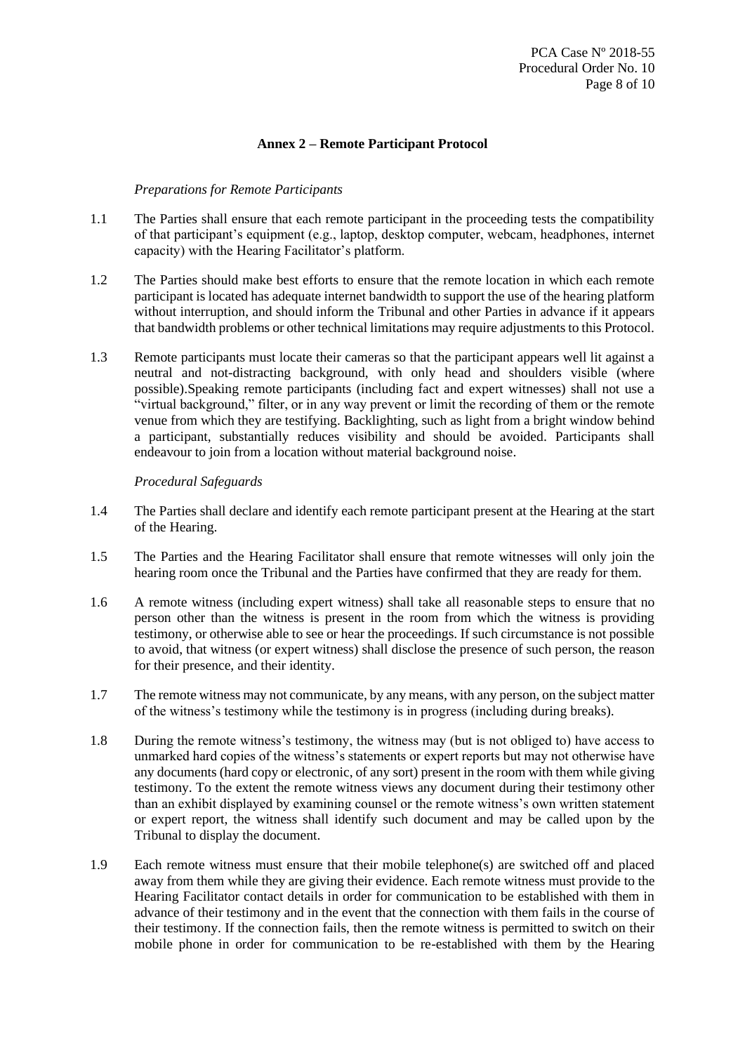#### **Annex 2 – Remote Participant Protocol**

#### *Preparations for Remote Participants*

- 1.1 The Parties shall ensure that each remote participant in the proceeding tests the compatibility of that participant's equipment (e.g., laptop, desktop computer, webcam, headphones, internet capacity) with the Hearing Facilitator's platform.
- 1.2 The Parties should make best efforts to ensure that the remote location in which each remote participant is located has adequate internet bandwidth to support the use of the hearing platform without interruption, and should inform the Tribunal and other Parties in advance if it appears that bandwidth problems or other technical limitations may require adjustments to this Protocol.
- 1.3 Remote participants must locate their cameras so that the participant appears well lit against a neutral and not-distracting background, with only head and shoulders visible (where possible).Speaking remote participants (including fact and expert witnesses) shall not use a "virtual background," filter, or in any way prevent or limit the recording of them or the remote venue from which they are testifying. Backlighting, such as light from a bright window behind a participant, substantially reduces visibility and should be avoided. Participants shall endeavour to join from a location without material background noise.

#### *Procedural Safeguards*

- 1.4 The Parties shall declare and identify each remote participant present at the Hearing at the start of the Hearing.
- 1.5 The Parties and the Hearing Facilitator shall ensure that remote witnesses will only join the hearing room once the Tribunal and the Parties have confirmed that they are ready for them.
- 1.6 A remote witness (including expert witness) shall take all reasonable steps to ensure that no person other than the witness is present in the room from which the witness is providing testimony, or otherwise able to see or hear the proceedings. If such circumstance is not possible to avoid, that witness (or expert witness) shall disclose the presence of such person, the reason for their presence, and their identity.
- 1.7 The remote witness may not communicate, by any means, with any person, on the subject matter of the witness's testimony while the testimony is in progress (including during breaks).
- 1.8 During the remote witness's testimony, the witness may (but is not obliged to) have access to unmarked hard copies of the witness's statements or expert reports but may not otherwise have any documents (hard copy or electronic, of any sort) present in the room with them while giving testimony. To the extent the remote witness views any document during their testimony other than an exhibit displayed by examining counsel or the remote witness's own written statement or expert report, the witness shall identify such document and may be called upon by the Tribunal to display the document.
- 1.9 Each remote witness must ensure that their mobile telephone(s) are switched off and placed away from them while they are giving their evidence. Each remote witness must provide to the Hearing Facilitator contact details in order for communication to be established with them in advance of their testimony and in the event that the connection with them fails in the course of their testimony. If the connection fails, then the remote witness is permitted to switch on their mobile phone in order for communication to be re-established with them by the Hearing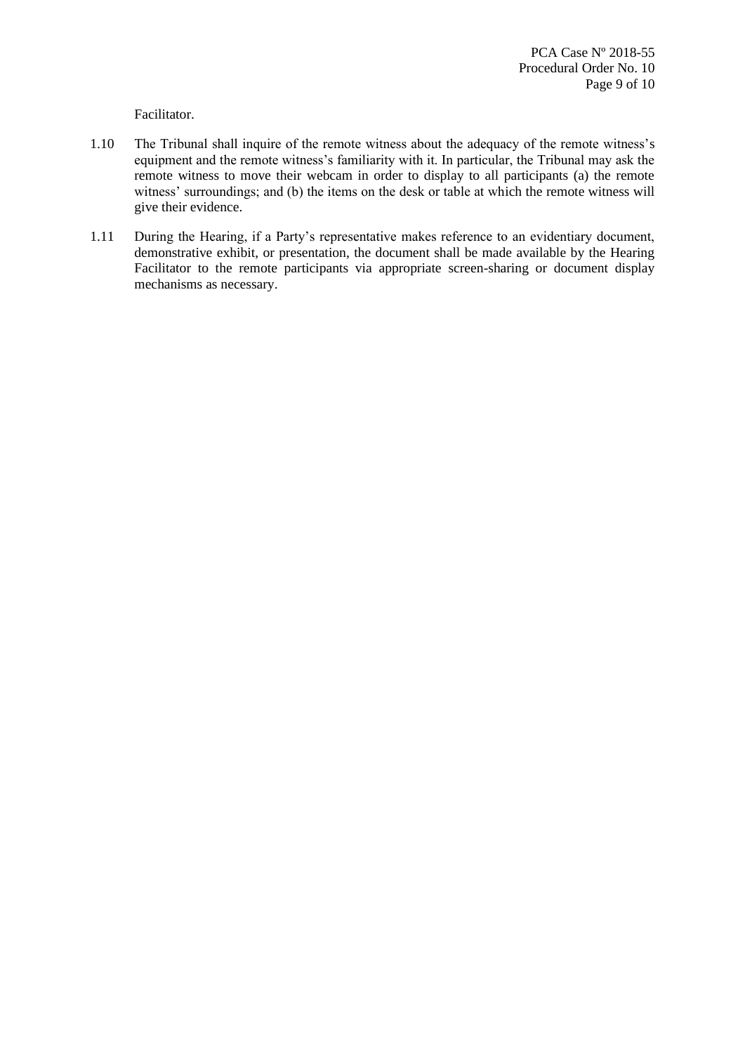Facilitator.

- 1.10 The Tribunal shall inquire of the remote witness about the adequacy of the remote witness's equipment and the remote witness's familiarity with it. In particular, the Tribunal may ask the remote witness to move their webcam in order to display to all participants (a) the remote witness' surroundings; and (b) the items on the desk or table at which the remote witness will give their evidence.
- 1.11 During the Hearing, if a Party's representative makes reference to an evidentiary document, demonstrative exhibit, or presentation, the document shall be made available by the Hearing Facilitator to the remote participants via appropriate screen-sharing or document display mechanisms as necessary.